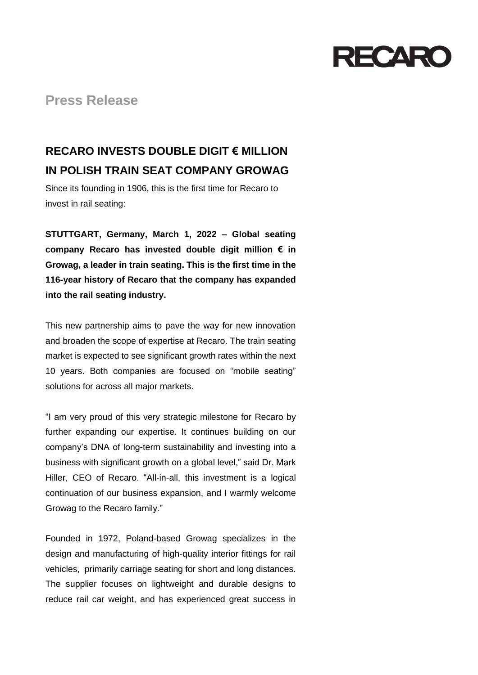

**Press Release**

## **RECARO INVESTS DOUBLE DIGIT € MILLION IN POLISH TRAIN SEAT COMPANY GROWAG**

Since its founding in 1906, this is the first time for Recaro to invest in rail seating:

**STUTTGART, Germany, March 1, 2022 – Global seating company Recaro has invested double digit million € in Growag, a leader in train seating. This is the first time in the 116-year history of Recaro that the company has expanded into the rail seating industry.**

This new partnership aims to pave the way for new innovation and broaden the scope of expertise at Recaro. The train seating market is expected to see significant growth rates within the next 10 years. Both companies are focused on "mobile seating" solutions for across all major markets.

"I am very proud of this very strategic milestone for Recaro by further expanding our expertise. It continues building on our company's DNA of long-term sustainability and investing into a business with significant growth on a global level," said Dr. Mark Hiller, CEO of Recaro. "All-in-all, this investment is a logical continuation of our business expansion, and I warmly welcome Growag to the Recaro family."

Founded in 1972, Poland-based Growag specializes in the design and manufacturing of high-quality interior fittings for rail vehicles, primarily carriage seating for short and long distances. The supplier focuses on lightweight and durable designs to reduce rail car weight, and has experienced great success in